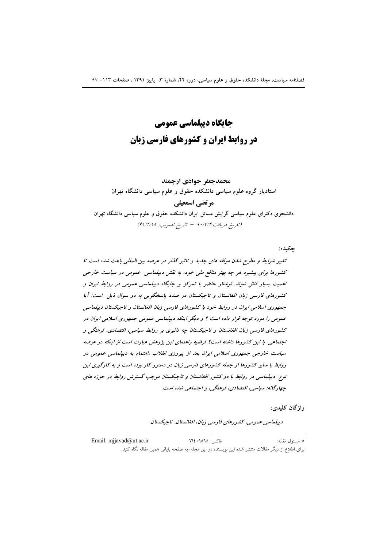# جایگاه دیپلماسی عمومی در روابط ایران و کشورهای فارسی زبان

محمدجعفر جوادي ارجمند استادیار گروه علوم سیاسی دانشکده حقوق و علوم سیاسی دانشگاه تهران مرتضى اسمعيلي دانشجوی دکترای علوم سیاسی گرایش مسائل ایران دانشکده حقوق و علوم سیاسی دانشگاه تهران (تاريخ دريافت:٩٠/٧/٣ – تاريخ تصويب: ٩١/٢/١٨)

چکيده:

تغییر شرایط و مطرح شدن مولفه های جدید و تاثیر گذار در عرصه بین المللی باعث شده است تا کشورها برای پیشبرد هر چه بهتر منافع ملی خود، به نقش دیپلماسی عمومی در سیاست خارجی اهمیت بسیار قائل شوند. نوشتار حاضر با تمرکز بر جایگاه دیپلماسی عمومی در روابط ایران و کشورهای فارسی زبان افغانستان و تاجیکستان در صدد پاسخگویی به دو سوال ذیل است: آیا جمهوری اسلامی ایران در روابط خود با کشورهای فارسی زبان افغانستان و تاجیکستان دیپلماسی عمومی را مورد توجه قرار داده است ؟ و دیگر اینکه دیپلماسی عمومی جمهوری اسلامی ایران در کشورهای فارسی زبان افغانستان و تاجیکستان چه تاثیری بر روابط سیاسی، اقتصادی، فرهنگی و اجتماعی با این کشورها داشته است؟ فرضیه راهنمای این پژوهش عبارت است از اینکه در عرصه سیاست خارجی جمهوری اسلامی ایران بعد از پیروزی انقلاب ،اهتمام به دیپلماسی عمومی در روابط با سایر کشورها از جمله کشورهای فارسی زبان در دستور کار بوده است و به کارگیری این نوع دیپلماسی در روابط با دو کشور افغانستان و تاجیکستان موجب گسترش روابط در حوزه های چهارگانه: سياسي، اقتصادي، فرهنگي، و اجتماعي شده است.

واژگان کلیدی:

ديپلماسي عمومي، كشورهاي فارسي زبان، افغانستان، تاجيكستان.

Email: miiavad@ut.ac.ir  $772.9090:$ فاكس: \* مسئول مقاله: برای اطلاع از دیگر مقالات منتشر شدهٔ این نویسنده در این مجله، به صفحه پایانی همین مقاله نگاه کنید.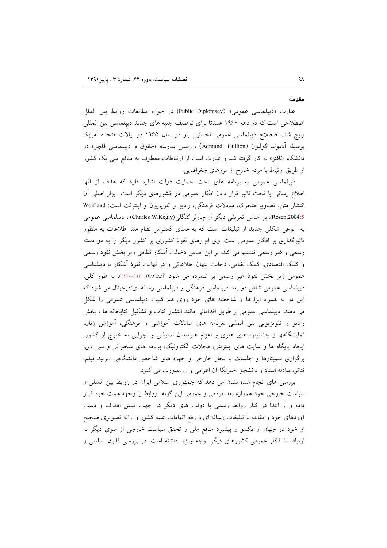مقدمه

عبارت «ديپلماسي عمومي» (Public Diplomacy) در حوزه مطالعات روابط بين الملل اصطلاحی است که در دهه ۱۹۶۰ عمدتاً برای توصیف جنبه های جدید دیپلماسی بین المللی رایج شد. اصطلاح دیپلماسی عمومی نخستین بار در سال ۱۹۶۵ در ایالات متحده آمریکا بوسيله آدموند گوليون (Admund Gullion) ، رئيس مدرسه «حقوق و ديپلماسي فلچر» در دانشگاه «تافتز» به کار گرفته شد و عبارت است از ارتباطات معطوف به منافع ملی یک کشور از طريق ارتباط با مردم خارج از مرزهاى جغرافيايي.

دیپلماسی عمومی به برنامه های تحت حمایت دولت اشاره دارد که هدف از آنها اطلاع رسانی یا تحت تاثیر قرار دادن افکار عمومی در کشورهای دیگر است. ابزار اصلی آن انتشار متن، تصاویر متحرک، مبادلات فرهنگی، رادیو و تلویزیون و اینترنت است( Wolf and 4:5)Rosen,2004). بر اساس تعریفی دیگر از چارلز کیگلی(Charles W.Kegly)، دیپلماسی عمومی به نوعی شکلی جدید از تبلیغات است که به معنای گسترش نظام مند اطلاعات به منظور تاثیرگذاری بر افکار عمومی است. وی ابزارهای نفوذ کشوری بر کشور دیگر را به دو دسته رسمی و غیر رسمی تقسیم می کند. بر این اساس دخالت آشکار نظامی زیر بخش نفوذ رسمی و کمک اقتصادی، کمک نظامی، دخالت پنهان اطلاعاتی و در نهایت نفوذ آشکار یا دیپلماسی عمومي زير بخش نفوذ غير رسمي بر شمرده مي شود (أشنا،١٣٨٣: ١٣٣-١٢٠). به طور كلي، دیپلماسی عمومی شامل دو بعد دیپلماسی فرهنگی و دیپلماسی رسانه ای/دیجیتال می شود که این دو به همراه ابزارها و شاخصه های خود روی هم کلیت دیپلماسی عمومی را شکل می دهند. دیپلماسی عمومی از طریق اقداماتی مانند انتشار کتاب و تشکیل کتابخانه ها ، پخش رادیو و تلویزیونی بین المللی ،برنامه های مبادلات آموزشی و فرهنگی، آموزش زبان، نمایشگاهها و جشنواره های هنری و اعزام هنرمندان نمایشی و اجرایی به خارج از کشور، ایجاد پایگاه ها و سایت های اینترنتی، مجلات الکترونیک، برنامه های سخنرانی و سی دی، برگزاری سمینارها و جلسات با تجار خارجی و چهره های شاخص دانشگاهی ،تولید فیلم، تئاتر، مبادله استاد و دانشجو ،خبرنگاران اعزامی و .....صورت می گیرد.

بررسی های انجام شده نشان می دهد که جمهوری اسلامی ایران در روابط بین المللی و سیاست خارجی خود همواره بعد مردمی و عمومی این گونه روابط را وجهه همت خود قرار داده و از ابتدا در کنار روابط رسمی با دولت های دیگر در جهت تبیین اهداف و دست آوردهای خود و مقابله با تبلیغات رسانه ای و رفع اتهامات علیه کشور و ارائه تصویری صحیح از خود در جهان از یکسو و پیشبرد منافع ملی و تحقق سیاست خارجی از سوی دیگر به ارتباط با افکار عمومی کشورهای دیگر توجه ویژه داشته است. در بررسی قانون اساسی و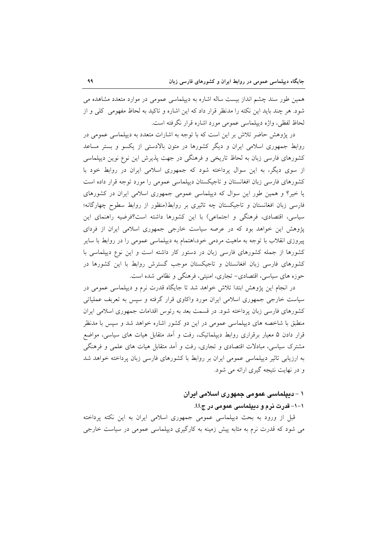همین طور سند چشم انداز بیست ساله اشاره به دیپلماسی عمومی در موارد متعدد مشاهده می شود. هر چند باید این نکته را مدنظر قرار داد که این اشاره و تاکید به لحاظ مفهومی کلی و از لحاظ لفظي، واژه ديپلماسي عمومي مورد اشاره قرار نگرفته است.

در پژوهش حاضر تلاش بر این است که با توجه به اشارات متعدد به دیپلماسی عمومی در روابط جمهوری اسلامی ایران و دیگر کشورها در متون بالادستی از یکسو و بستر مساعد کشورهای فارسی زبان به لحاظ تاریخی و فرهنگی در جهت پذیرش این نوع نوین دیپلماسی از سوی دیگر، به این سوال پرداخته شود که جمهوری اسلامی ایران در روابط خود با کشورهای فارسی زبان افغانستان و تاجیکستان دیپلماسی عمومی را مورد توجه قرار داده است یا خیر؟ و همین طور این سوال که دیپلماسی عمومی جمهوری اسلامی ایران در کشورهای فارسی زبان افغانستان و تاجیکستان چه تاثیری بر روابط(منظور از روابط سطوح چهارگانه؛ سیاسی، اقتصادی، فرهنگی و اجتماعی) با این کشورها داشته است؟فرضیه راهنمای این پژوهش این خواهد بود که در عرصه سیاست خارجی جمهوری اسلامی ایران از فردای پیروزی انقلاب با توجه به ماهیت مردمی خود،اهتمام به دیپلماسی عمومی را در روابط با سایر کشورها از جمله کشورهای فارسی زبان در دستور کار داشته است و این نوع دیپلماسی با کشورهای فارسی زبان افغانستان و تاجیکستان موجب گسترش روابط با این کشورها در حوزه های سیاسی، اقتصادی- تجاری، امنیتی، فرهنگی و نظامی شده است.

در انجام این پژوهش ابتدا تلاش خواهد شد تا جایگاه قدرت نرم و دیپلماسی عمومی در سیاست خارجی جمهوری اسلامی ایران مورد واکاوی قرار گرفته و سپس به تعربف عملیاتی کشورهای فارسی زبان پرداخته شود. در قسمت بعد به رئوس اقدامات جمهوری اسلامی ایران منطبق با شاخصه های دیپلماسی عمومی در این دو کشور اشاره خواهد شد و سپس با مدنظر قرار دادن ۵ معیار برقراری روابط دیپلماتیک، رفت و آمد متقابل هیات های سیاسی، مواضع مشترک سیاسی، مبادلات اقتصادی و تجاری، رفت و آمد متقابل هیات های علمی و فرهنگی به ارزیابی تاثیر دیپلماسی عمومی ایران بر روابط با کشورهای فارسی زبان پرداخته خواهد شد و در نهایت نتیجه گیری ارائه می شود.

## ۱ – دیپلماسی عمومی جمهوری اسلامی ایران ۱–۱– قدرت نرم و دیپلماسی عمومی در ج.ا.ا.

قبل از ورود به بحث دیپلماسی عمومی جمهوری اسلامی ایران به این نکته پرداخته می شود که قدرت نرم به مثابه پیش زمینه به کارگیری دیپلماسی عمومی در سیاست خارجی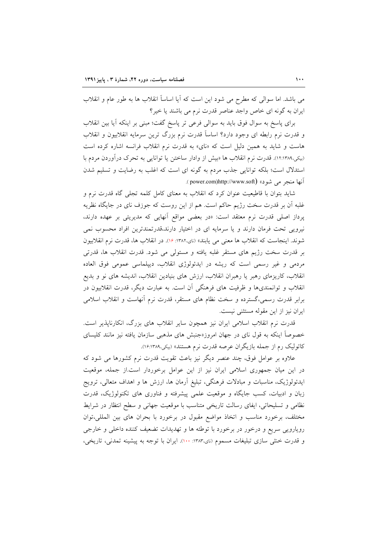می باشد. اما سوالی که مطرح می شود این است که آیا اساساً انقلاب ها به طور عام و انقلاب ایران به گونه ای خاص واجد عناصر قدرت نرم می باشند یا خیر؟

برای پاسخ به سوال فوق باید به سوالی فرعی تر پاسخ گفت؛ مبنی بر اینکه اًیا بین انقلاب و قدرت نرم رابطه ای وجود دارد؟ اساساً قدرت نرم بزرگ ترین سرمایه انقلابیون و انقلاب هاست و شاید به همین دلیل است که «نای» به قدرت نرم انقلاب فرانسه اشاره کرده است (بیکی،۱۲:۱۳۸۹). قدرت نرم انقلاب ها «بیش از وادار ساختن یا توانایی به تحرک درآوردن مردم با استدلال است؛ بلکه توانایی جذب مردم به گونه ای است که اغلب به رضایت و تسلیم شدن آنها منجر مي شود» (power.com)http://www.soft ).

شاید بتوان با قاطیعیت عنوان کرد که انقلاب به معنای کامل کلمه تجلی گاه قدرت نرم و غلبه آن بر قدرت سخت رژیم حاکم است. هم از این روست که جوزف نای در جایگاه نظریه یرداز اصلی قدرت نرم معتقد است: «در بعضی مواقع أنهایی که مدیریتی بر عهده دارند، نیرویی تحت فرمان دارند و یا سرمایه ای در اختیار دارند،قدرتمندترین افراد محسوب نمی شوند. اینجاست که انقلاب ها معنی می یابند» (نای،۱۳۸۲: ۱۶). در انقلاب ها، قدرت نرم انقلابیون بر قدرت سخت رژیم های مستقر غلبه یافته و مستولی می شود. قدرت انقلاب ها، قدرتی مردمی و غیر رسمی است که ریشه در ایدئولوژی انقلاب، دیپلماسی عمومی فوق العاده انقلاب، کاریزمای رهبر یا رهبران انقلاب، ارزش های بنیادین انقلاب، اندیشه های نو و بدیع انقلاب و توانمندیها و ظرفیت های فرهنگی أن است. به عبارت دیگر، قدرت انقلابیون در برابر قدرت رسمی،گسترده و سخت نظام های مستقر، قدرت نرم آنهاست و انقلاب اسلامی ایران نیز از این مقوله مستثنی نیست.

قدرت نرم انقلاب اسلامی ایران نیز همچون سایر انقلاب های بزرگ، انکارناپذیر است. خصوصاً اینکه به قول نای در جهان امروز«جنبش های مذهبی سازمان یافته نیز مانند کلیسای کاتولیک رم از جمله بازیگران عرصه قدرت نرم هستند» (بیکی،۱۳۸۹:۱۶).

علاوه بر عوامل فوق، چند عنصر دیگر نیز باعث تقویت قدرت نرم کشورها می شود که در این میان جمهوری اسلامی ایران نیز از این عوامل برخوردار است.از جمله، موقعیت ایدئولوژیک، مناسبات و مبادلات فرهنگی، تبلیغ آرمان ها، ارزش ها و اهداف متعالی، ترویج زبان و ادبیات، کسب جایگاه و موقعیت علمی پیشرفته و فناوری های تکنولوژیک، قدرت نظامی و تسلیحاتی، ایفای رسالت تاریخی متناسب با موقعیت جهانی و سطح انتظار در شرایط مختلف، برخورد مناسب و اتخاذ مواضع مقبول در برخورد با بحران هاى بين المللي،توان رویارویی سریع و درخور در برخورد با توطئه ها و تهدیدات تضعیف کننده داخلی و خارجی و قدرت خنثی سازی تبلیغات مسموم (نای،۱۳۸۳: ۱۰۰). ایران با توجه به پیشینه تمدنی، تاریخی،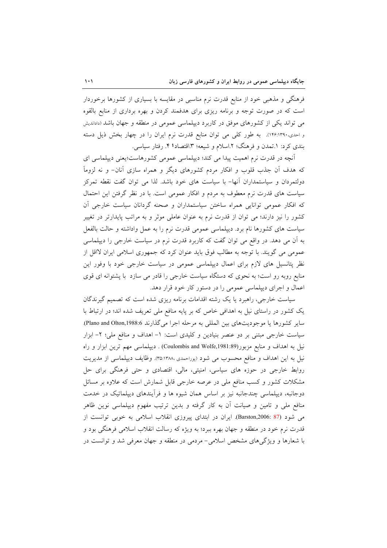فرهنگی و مذهبی خود از منابع قدرت نرم مناسبی در مقایسه با بسیاری از کشورها برخوردار است که در صورت توجه و برنامه ریزی برای هدفمند کردن و بهره برداری از منابع بالقوه می تواند یکی از کشورهای موفق در کاربرد دیپلماسی عمومی در منطقه و جهان باشد (داداندیش و احدی،۱۴۹۰:۱۳۹۰). به طور کلی می توان منابع قدرت نرم ایران را در چهار بخش ذیل دسته بندی کرد: ۱.تمدن و فرهنگ؛ ۲.اسلام و شیعه؛ ۳.اقتصاد؛ ۴. رفتار سیاسی.

آنچه در قدرت نرم اهمیت پیدا می کند؛ دیپلماسی عمومی کشورهاست؛یعنی دیپلماسی ای که هدف آن جذب قلوب و افکار مردم کشورهای دیگر و همراه سازی آنان- و نه لزوماً دولتمردان و سیاستمداران آنها– با سیاست های خود باشد. لذا می توان گفت نقطه تمرکز سیاست های قدرت نرم معطوف به مردم و افکار عمومی است. با در نظر گرفتن این احتمال که افکار عمومی توانایی همراه ساختن سیاستمداران و صحنه گردانان سیاست خارجی آن کشور را نیز دارند؛ می توان از قدرت نرم به عنوان عاملی موثر و به مراتب پایدارتر در تغییر سیاست های کشورها نام برد. دیپلماسی عمومی قدرت نرم را به عمل واداشته و حالت بالفعل به اّن می دهد. در واقع می توان گفت که کاربرد قدرت نرم در سیاست خارجی را دیپلماسی عمومی می گویند. با توجه به مطالب فوق باید عنوان کرد که جمهوری اسلامی ایران لااقل از نظر پتانسیل های لازم برای اعمال دیپلماسی عمومی در سیاست خارجی خود با وفور این منابع روبه رو است؛ به نحوی که دستگاه سیاست خارجی را قادر می سازد با پشتوانه ای قوی اعمال و اجرای دیپلماسی عمومی را در دستور کار خود قرار دهد.

سیاست خارجی، راهبرد یا یک رشته اقدامات برنامه ریزی شده است که تصمیم گیرندگان یک کشور در راستای نیل به اهدافی خاص که بر پایه منافع ملی تعریف شده اند؛ در ارتباط با سایر کشورها یا موجودیتهای بین المللی به مرحله اجرا میگذارند Plano and Olton,1988:6. سیاست خارجی مبتنی بر دو عنصر بنیادین و کلیدی است: ١- اهداف و منافع ملی؛ ٢- ابزار نیل به اهداف و منابع مزبور(Coulombis and Wolfe,1981:89) . دیپلماسی مهم ترین ابزار و راه نیل به این اهداف و منافع محسوب می شود (پوراحمدی ،٣٥:١٣٨٨). وظایف دیپلماسی از مدیریت روابط خارجی در حوزه های سیاسی، امنیتی، مالی، اقتصادی و حتی فرهنگی برای حل مشکلات کشور و کسب منافع ملی در عرصه خارجی قابل شمارش است که علاوه بر مسائل دوجانبه، دیپلماسی چندجانبه نیز بر اساس همان شیوه ها و فرآیندهای دیپلماتیک در خدمت منافع ملی و تامین و صیانت آن به کار گرفته و بدین ترتیب مفهوم دیپلماسی نوین ظاهر می شود (87 :Barston,2006). ایران در ابتدای پیروزی انقلاب اسلامی به خوبی توانست از قدرت نرم خود در منطقه و جهان بهره ببرد؛ به ویژه که رسالت انقلاب اسلامی فرهنگی بود و با شعارها و ویژگیهای مشخص اسلامی- مردمی در منطقه و جهان معرفی شد و توانست در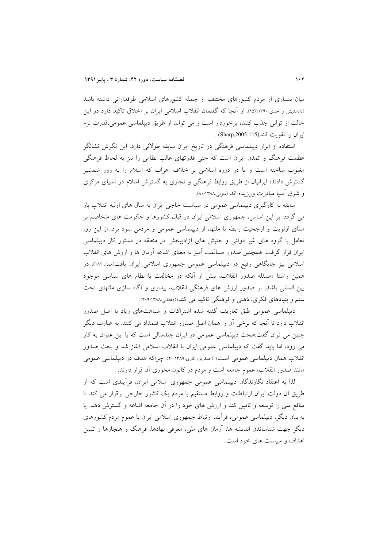میان بسیاری از مردم کشورهای مختلف از جمله کشورهای اسلامی طرفدارانی داشته باشد (داداندیش و احدی،۱۳۹۰:۵۳:۱). از آنجا که گفتمان انقلاب اسلامی ایران بر اخلاق تاکید دارد در این حالت از توانی جذب کننده برخوردار است و می تواند از طریق دیپلماسی عمومی،قدرت نرم ابران را تقويت كند(Sharp,2005:115) .

استفاده از ابزار دیپلماسی فرهنگی در تاریخ ایران سابقه طولانی دارد. این نگرش نشانگر عظمت فرهنگ و تمدن ایران است که حتی قدرتهای غالب نظامی را نیز به لحاظ فرهنگی مغلوب ساخته است و یا در دوره اسلامی بر خلاف اعراب که اسلام را به زور شمشیر گسترش دادند؛ ایرانیان از طریق روابط فرهنگی و تجاری به گسترش اسلام در آسیای مرکزی و شرق آسیا مبادرت ورزیده اند (متولی،۱۳۸۸:۸۰:

سابقه به کارگیری دیپلماسی عمومی در سیاست خاجی ایران به سال های اولیه انقلاب باز می گردد. بر این اساس، جمهوری اسلامی ایران در قبال کشورها و حکومت های متخاصم بر مبنای اولویت و ارجحیت رابطه با ملتها، از دیپلماسی عمومی و مردمی سود برد. از این رو، تعامل با گروه های غیر دولتی و جنبش های آزادیبخش در منطقه در دستور کار دیپلماسی ایران قرار گرفت. همچنین صدور مسالمت آمیز به معنای اشاعه آرمان ها و ارزش های انقلاب اسلامی نیز جایگاهی رفیع در دیپلماسی عمومی جمهوری اسلامی ایران یافت(ممان:۱۸۲). در همین راستا «مسئله صدور انقلاب، بیش از آنکه در مخالفت با نطام های سیاسی موجود بین المللی باشد، بر صدور ارزش های فرهنگی انقلاب، بیداری و آگاه سازی ملتهای تحت ستم و بنیادهای فکری، ذهنی و فرهنگی تاکید می کند»(دهقانی،۱۳۸۸:۰۹۹).

دیپلماسی عمومی طبق تعاریف گفته شده اشتراکات و شباهتهای زیاد با اصل صدور انقلاب دارد تا آنجا که برخی آن را همان اصل صدور انقلاب قلمداد می کنند. به عبارت دیگر چنین می توان گفت:«بحث دیپلماسی عمومی در ایران چندسالی است که با این عنوان به کار می رود، اما باید گفت که دیپلماسی عمومی ایران با انقلاب اسلامی آغاز شد و بحث صدور انقلاب همان دیپلماسی عمومی است» (اصغربان کاری،۳۸۹(:۴۰). چراکه هدف در دیپلماسی عمومی مانند صدور انقلاب، عموم جامعه است و مردم در کانون محوری آن قرار دارند.

لذا به اعتقاد نگارندگان دیپلماسی عمومی جمهوری اسلامی ایران، فرآیندی است که از طریق اَن دولت ایران ارتباطات و روابط مستقیم با مردم یک کشور خارجی برقرار می کند تا منافع ملی را توسعه و تامین کند و ارزش های خود را در آن جامعه اشاعه و گسترش دهد. یا به بیان دیگر، دیپلماسی عمومی، فرأیند ارتباط جمهوری اسلامی ایران با عموم مردم کشورهای دیگر جهت شناساندن اندیشه ها، أرمان های ملی، معرفی نهادها، فرهنگ و هنجارها و تبیین اهداف و سیاست های خود است.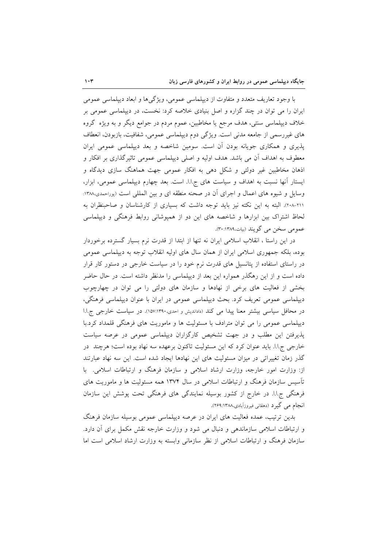با وجود تعاریف متعدد و متفاوت از دیپلماسی عمومی، ویژگیها و ابعاد دیپلماسی عمومی ایران را می توان در چند گزاره و اصل بنیادی خلاصه کرد: نخست، در دیپلماسی عمومی بر خلاف دیپلماسی سنتی، هدف مرجع یا مخاطبین، عموم مردم در جوامع دیگر و به ویژه گروه های غیررسمی از جامعه مدنی است. ویژگی دوم دیپلماسی عمومی، شفافیت، بازبودن، انعطاف پذیری و همکاری جویانه بودن آن است. سومین شاخصه و بعد دیپلماسی عمومی ایران معطوف به اهداف آن می باشد. هدف اولیه و اصلی دیپلماسی عمومی تاثیرگذاری بر افکار و اذهان مخاطبین غیر دولتی و شکل دهی به افکار عمومی جهت هماهنگ سازی دیدگاه و ایستار آنها نسبت به اهداف و سیاست های ج.ا.ا. است. بعد چهارم دیپلماسی عمومی، ابزار، وسایل و شیوه های اعمال و اجرای آن در صحنه منطقه ای و بین المللی است (پوراحمدی،۱۳۸۸: ٢٠١-٢٠٨). البته به اين نكته نيز بايد توجه داشت كه بسيارى از كارشناسان و صاحبنظران به لحاظ اشتراک بین ابزارها و شاخصه های این دو از همیوشانی روابط فرهنگی و دیپلماسی عمومی سخن می گویند (بیات،۱۳۸۹:۴۰:

در این راستا ، انقلاب اسلامی ایران نه تنها از ابتدا از قدرت نرم بسیار گسترده برخوردار بوده، بلکه جمهوری اسلامی ایران از همان سال های اولیه انقلاب توجه به دیپلماسی عمومی در راستای استفاده از پتانسیل های قدرت نرم خود را در سیاست خارجی در دستور کار قرار داده است و از این رهگذر همواره این بعد از دیپلماسی را مدنظر داشته است. در حال حاضر بخشی از فعالیت های برخی از نهادها و سازمان های دولتی را می توان در چهارچوب دیپلماسی عمومی تعریف کرد. بحث دیپلماسی عمومی در ایران با عنوان دیپلماسی فرهنگی، در محافل سیاسی بیشتر معنا پیدا می کند (داداندیش و احدی،۱۵۷:۱۳۹۰). در سیاست خارجی ج.ا.ا دیپلماسی عمومی را می توان مترادف با مسئولیت ها و ماموریت های فرهنگی قلمداد کرد.با پذیرفتن این مطلب و در جهت تشخیص کارگزاران دیپلماسی عمومی در عرصه سیاست خارجي ج.ا.ا. بايد عنوان كرد كه اين مسئوليت تاكنون برعهده سه نهاد بوده است؛ هرچند در گذر زمان تغییراتی در میزان مسئولیت های این نهادها ایجاد شده است. این سه نهاد عبارتند از: وزارت امور خارجه، وزارت ارشاد اسلامی و سازمان فرهنگ و ارتباطات اسلامی. با تأسیس سازمان فرهنگ و ارتباطات اسلامی در سال ۱۳۷۴ همه مسئولیت ها و ماموریت های فرهنگی ج.ا.ا. در خارج از کشور بوسیله نمایندگی های فرهنگی تحت پوشش این سازمان انجام مي گيرد (دهقاني فيروزآبادي،١٣٨٨.٢۶٩).

بدین ترتیب، عمده فعالیت های ایران در عرصه دیپلماسی عمومی بوسیله سازمان فرهنگ و ارتباطات اسلامی سازماندهی و دنبال می شود و وزارت خارجه نقش مکمل برای أن دارد. سازمان فرهنگ و ارتباطات اسلامی از نظر سازمانی وابسته به وزارت ارشاد اسلامی است اما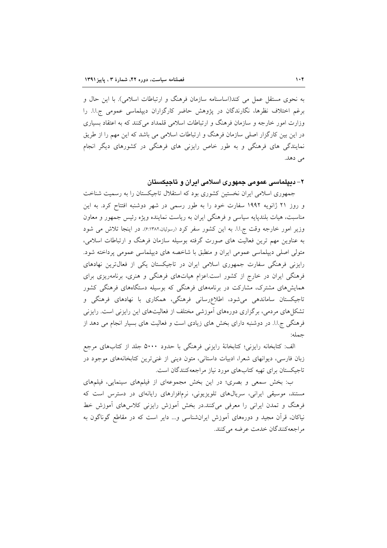به نحوی مستقل عمل می کند(اساسنامه سازمان فرهنگ و ارتباطات اسلامی). با این حال و برغم اختلاف نظرها، نگارندگان در پژوهش حاضر کارگزاران دیپلماسی عمومی ج.ا.ا. را وزارت امور خارجه و سازمان فرهنگ و ارتباطات اسلامی قلمداد می کنند که به اعتقاد بسیاری در این بین کارگزار اصلی سازمان فرهنگ و ارتباطات اسلامی می باشد که این مهم را از طریق نمایندگی های فرهنگی و به طور خاص رایزنی های فرهنگی در کشورهای دیگر انجام می دهد.

#### ۲– دیپلماسی عمومی جمهوری اسلامی ایران و تاجیکستان

جمهوری اسلامی ایران نخستین کشوری بود که استقلال تاجیکستان را به رسمیت شناخت و روز ۲۱ ژانویه ۱۹۹۲ سفارت خود را به طور رسمی در شهر دوشنبه افتتاح کرد. به این مناسبت، هیات بلندپایه سیاسی و فرهنگی ایران به ریاست نماینده ویژه رئیس جمهور و معاون وزیر امور خارجه وقت ج.ا.ا. به این کشور سفر کرد (رسولیان،۴:۱۳۸۲). در اینجا تلاش می شود به عناوین مهم ترین فعالیت های صورت گرفته بوسیله سازمان فرهنگ و ارتباطات اسلامی، متولی اصلی دیپلماسی عمومی ایران و منطبق با شاخصه های دیپلماسی عمومی پرداخته شود. رایزنی فرهنگی سفارت جمهوری اسلامی ایران در تاجیکستان یکی از فعالترین نهادهای فرهنگی ایران در خارج از کشور است.اعزام هیاتهای فرهنگی و هنری، برنامهریزی برای همایشهای مشترک، مشارکت در برنامههای فرهنگی که بوسیله دستگاههای فرهنگی کشور تاجیکستان ساماندهی میشود، اطلاع رسانی فرهنگی، همکاری با نهادهای فرهنگی و تشکلهای مردمی، برگزاری دورههای آموزشی مختلف از فعالیتهای این رایزنی است. رایزنی فرهنگی ج.ا.ا. در دوشنبه دارای بخش های زیادی است و فعالیت های بسیار انجام می دهد از جمله:

الف: كتابخانه رايزني؛ كتابخانهٔ رايزني فرهنگي با حدود ۵۰۰۰ جلد از كتابهاي مرجع زبان فارسی، دیوانهای شعرا، ادبیات داستانی، متون دینی از غنیترین کتابخانههای موجود در تاجیکستان برای تهیه کتابهای مورد نیاز مراجعهکنندگان است.

ب: بخش سمعی و بصری؛ در این بخش مجموعهای از فیلمهای سینمایی، فیلمهای مستند، موسیقی ایرانی، سریالهای تلویزیونی، نرمافزارهای رایانهای در دسترس است که فرهنگ و تمدن ایرانی را معرفی میکنند.در بخش اَموزش رایزنی کلاس۵های اَموزش خط نیاکان، قرأن مجید و دورههای اَموزش ایرانشناسی و… دایر است که در مقاطع گوناگون به مر اجعه كنندگان خدمت عرضه مي كنند.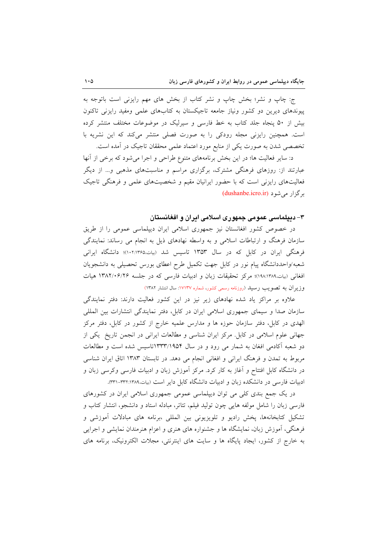ج: چاپ و نشر؛ بخش چاپ و نشر کتاب از بخش های مهم رایزنی است باتوجه به پیوندهای دیرین دو کشور ونیاز جامعه تاجیکستان به کتابهای علمی ومفید رایزنی تاکنون بیش از ۵۰ پنجاه جلد کتاب به خط فارسی و سیرلیک در موضوعات مختلف منتشر کرده است. همچنین رایزنی مجله رودکی را به صورت فصلی منتشر میکند که این نشریه با تخصصی شدن به صورت یکی از منابع مورد اعتماد علمی محققان تاجیک در آمده است.

د: سایر فعالیت ها؛ در این بخش برنامههای متنوع طراحی و اجرا میشود که برخی از آنها عبارتند از: روزهای فرهنگی مشترک، برگزاری مراسم و مناسبتهای مذهبی و... از دیگر فعالیتهای رایزنی است که با حضور ایرانیان مقیم و شخصیتهای علمی و فرهنگی تاجیک بر گزار می شود (dushanbe.icro.ir)

#### ۳– دیپلماسی عمومی جمهوری اسلامی ایران و افغانستان

در خصوص کشور افغانستان نیز جمهوری اسلامی ایران دیپلماسی عمومی را از طریق سازمان فرهنگ و ارتباطات اسلامی و به واسطه نهادهای ذیل به انجام می رساند: نمایندگی فرهنگی ایران در کابل که در سال ۱۳۵۳ تاسیس شد (بیات،۱۰۲:۱۳۶۵)؛ دانشگاه ایرانی شعبه/واحددانشگاه پیام نور در کابل جهت تکمیل طرح اعطای بورس تحصیلی به دانشجویان افغانی (بیات،١٣٨٩:١٩٨)؛ مرکز تحقیقات زبان و ادبیات فارسی که در جلسه ١٣٨٢/٠۶/٢۶ هیات وزیران به تصویب رسید (روزنامه رسمی کشور، شماره ۱۷۱۳۷: سال انتشار ۱۳۸۲)

علاوه بر مراکز یاد شده نهادهای زیر نیز در این کشور فعالیت دارند: دفتر نمایندگی سازمان صدا و سیمای جمهوری اسلامی ایران در کابل، دفتر نمایندگی انتشارات بین المللی الهدی در کابل، دفتر سازمان حوزه ها و مدارس علمیه خارج از کشور در کابل، دفتر مرکز جهانی علوم اسلامی در کابل. مرکز ایران شناسی و مطالعات ایرانی در انجمن تاریخ یکی از دو شعبه آکادمی افغان به شمار می رود و در سال ۱۳۳۳/۱۹۵۴تاسیس شده است و مطالعات مربوط به تمدن و فرهنگ ایرانی و افغانی انجام می دهد. در تابستان ۱۳۸۳ اتاق ایران شناسی در دانشگاه کابل افتتاح و آغاز به کار کرد. مرکز آموزش زبان و ادبیات فارسی وکرسی زبان و ادبیات فارسی در دانشکده زبان و ادبیات دانشگاه کابل دایر است (بیات،۳۲۹-۳۳۲-۳۳۱).

در یک جمع بندی کلی می توان دیپلماسی عمومی جمهوری اسلامی ایران در کشورهای فارسی زبان را شامل مولفه هایی چون تولید فیلم، تئاتر، مبادله استاد و دانشجو، انتشار کتاب و تشکیل کتابخانهها، پخش رادیو و تلویزیونی بین المللی ،برنامه های مبادلات آموزشی و فرهنگی، آموزش زبان، نمایشگاه ها و جشنواره های هنری و اعزام هنرمندان نمایشی و اجرایی به خارج از کشور، ایجاد پایگاه ها و سایت های اینترنتی، مجلات الکترونیک، برنامه های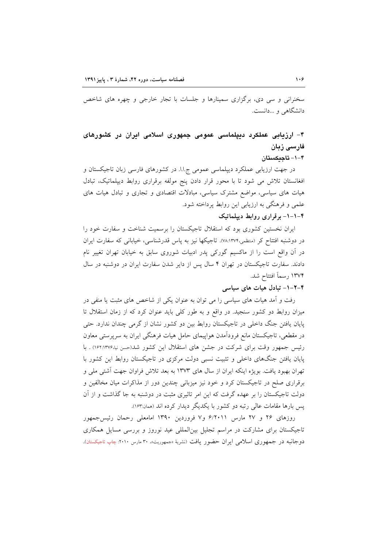سخنرانی و سی دی، برگزاری سمینارها و جلسات با تجار خارجی و چهره های شاخص دانشگاهی و …دانست.

## ۴– ارزیابی عملکرد دیپلماسی عمومی جمهوری اسلامی ایران در کشورهای فارسی زبان

۴-۱-تاجىكستان

در جهت ارزیابی عملکرد دیپلماسی عمومی ج.ا.ا. در کشورهای فارسی زبان تاجیکستان و افغانستان تلاش می شود تا با محور قرار دادن پنج مولفه برقراری روابط دیپلماتیک، تبادل هیات های سیاسی، مواضع مشترک سیاسی، مبادلات اقتصادی و تجاری و تبادل هیات های علمی و فرهنگی به ارزیابی این روابط پرداخته شود.

## ۴–۱–۱– برقراری روابط دیپلماتیک

ایران نخستین کشوری بود که استقلال تاجیکستان را برسمیت شناخت و سفارت خود را در دوشنبه افتتاح کر (متظمی،۱۳۷۴:۸۸). تاجیکها نیز به پاس قدرشناسی، خیابانی که سفارت ایران در آن واقع است را از ماکسیم گورکی پدر ادبیات شوروی سابق به خیابان تهران تغییر نام دادند. سفارت تاجیکستان در تهران ۴ سال پس از دایر شدن سفارت ایران در دوشنبه در سال ۱۳۷۴ رسماً افتتاح شد.

#### ۴-۲-۱- تبادل هیات های سیاسی

رفت و آمد هیات های سیاسی را می توان به عنوان یکی از شاخص های مثبت یا منفی در میزان روابط دو کشور سنجید. در واقع و به طور کلی باید عنوان کرد که از زمان استقلال تا پایان یافتن جنگ داخلی در تاجیکستان روابط بین دو کشور نشان از گرمی چندان ندارد. حتی در مقطعی، تاجیکستان مانع فرودآمدن هواپیمای حامل هیات فرهنگی ایران به سرپرستی معاون رئیس جمهور وقت برای شرکت در جشن های استقلال این کشور شد(حسن نیا،۱۶۲:۱۳۷۶) . با پایان یافتن جنگهای داخلی و تثبیت نسبی دولت مرکزی در تاجیکستان روابط این کشور با تهران بهبود یافت. بویژه اینکه ایران از سال های ۱۳۷۳ به بعد تلاش فراوان جهت آشتی ملی و برقراری صلح در تاجیکستان کرد و خود نیز میزبانی چندین دور از مذاکرات میان مخالفین و دولت تاجیکستان را بر عهده گرفت که این امر تاثیری مثبت در دوشنبه به جا گذاشت و از آن پس بارها مقامات عالی رتبه دو کشور با یکدیگر دیدار کرده اند (همان:۱۶۳).

روزهای ۲۶ و ۲۷ مارس ۶/۲۰۱۱ و۷ فروردین ۱۳۹۰ امامعلی رحمان رئیس جمهور تاجیکستان برای مشارکت در مراسم تجلیل بین المللی عید نوروز و بررسی مسایل همکاری دوجانبه در جمهوری اسلامی ایران حضور یافت (نشریهٔ «جمهوریت». ۳۰ مارس ۲۰۱۰: چاپ تاجیکستان).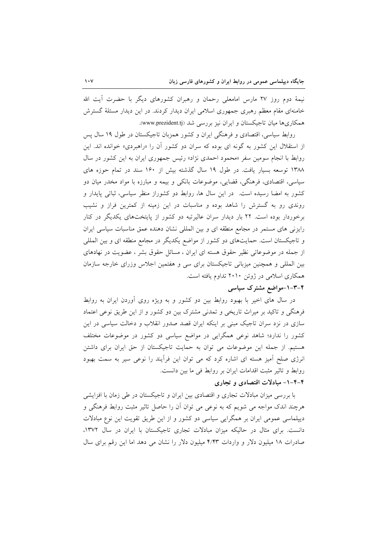نیمهٔ دوم روز ۲۷ مارس امامعلی رحمان و رهبران کشورهای دیگر با حضرت آیت الله خامنهای مقام معظم رهبری جمهوری اسلامی ایران دیدار کردند. در این دیدار مسئلهٔ گسترش همکاریها میان تاجیکستان و ایران نیز بررسی شد (www.prezident.tj).

روابط سیاسی، اقتصادی و فرهنگی ایران و کشور همزبان تاجیکستان در طول ۱۹ سال پس از استقلال این کشور به گونه ای بوده که سران دو کشور آن را «راهبردی» خوانده اند. این روابط با انجام سومین سفر «محمود احمدی نژاد» رئیس جمهوری ایران به این کشور در سال ۱۳۸۸ توسعه بسیار یافت. در طول ۱۹ سال گذشته بیش از ۱۶۰ سند در تمام حوزه های سیاسی، اقتصادی، فرهنگی، قضایی، موضوعات بانکی و بیمه و مبارزه با مواد مخدر میان دو کشور به امضا رسیده است. در این سال ها، روابط دو کشوراز منظر سیاسی، ثباتی پایدار و روندی رو به گسترش را شاهد بوده و مناسبات در این زمینه از کمترین فراز و نشیب برخوردار بوده است. ۲۲ بار دیدار سران عالیرتبه دو کشور از پایتختهای یکدیگر در کنار رایزنی های مستمر در مجامع منطقه ای و بین المللی نشان دهنده عمق مناسبات سیاسی ایران و تاجیکستان است. حمایتهای دو کشور از مواضع یکدیگر در مجامع منطقه ای و بین المللی از جمله در موضوعاتی نظیر حقوق هسته ای ایران ، مسائل حقوق بشر ، عضویت در نهادهای بین المللی و همچنین میزبانی تاجیکستان برای سی و هفتمین اجلاس وزرای خارجه سازمان همکاری اسلامی در ژوئن ۲۰۱۰ تداوم یافته است.

## ۴–۲–۱–مواضع مشترک سیاسی

در سال های اخیر با بهبود روابط بین دو کشور و به ویژه روی آوردن ایران به روابط فرهنگی و تاکید بر میراث تاریخی و تمدنی مشترک بین دو کشور و از این طریق نوعی اعتماد سازی در نزد سران تاجیک مبنی بر اینکه ایران قصد صدور انقلاب و دخالت سیاسی در این کشور را ندارد؛ شاهد نوعی همگرایی در مواضع سیاسی دو کشور در موضوعات مختلف هستیم. از جمله این موضوعات می توان به حمایت تاجیکستان از حق ایران برای داشتن انرژی صلح آمیز هسته ای اشاره کرد که می توان این فرآیند را نوعی سیر به سمت بهبود روابط و تاثیر مثبت اقدامات ایران بر روابط فی ما بین دانست.

## ۴-۴-۱- مبادلات اقتصادی و تجاری

با بررسی میزان مبادلات تجاری و اقتصادی بین ایران و تاجیکستان در طی زمان با افزایشی هرچند اندک مواجه می شویم که به نوعی می توان آن را حاصل تاثیر مثبت روابط فرهنگی و دیپلماسی عمومی ایران بر همگرایی سیاسی دو کشور و از این طریق تقویت این نوع مبادلات دانست. برای مثال در حالیکه میزان مبادلات تجاری تاجیکستان با ایران در سال ۱۳۷۲، صادرات ١٨ ميليون دلار و واردات ۴/۴۳ ميليون دلار را نشان مي دهد اما اين رقم براي سال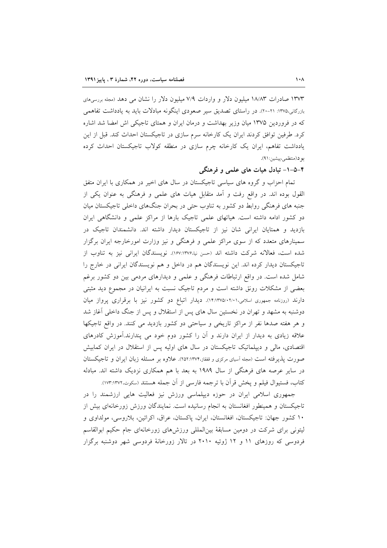۱۳۷۳ صادرات ۱۸/۸۳ میلیون دلار و واردات ۷/۹ میلیون دلار را نشان می دهد (مجله بررسی های بازرگانی،۱۳۷۵: ۲۱-۲۰). در راستای تصدیق سیر صعودی اینگونه مبادلات باید به یادداشت تفاهمی که در فروردین ۱۳۷۵ میان وزیر بهداشت و درمان ایران و همتای تاجیکی اش امضا شد اشاره کرد. طرفین توافق کردند ایران یک کارخانه سرم سازی در تاجیکستان احداث کند. قبل از این یادداشت تفاهم، ایران یک کارخانه چرم سازی در منطقه کولاب تاجیکستان احداث کرده بو د(منتظمى،پيشين:٩١).

۴–۵–۱– تبادل هیات های علمی و فرهنگی

تمام احزاب و گروه های سیاسی تاجیکستان در سال های اخیر در همکاری با ایران متفق القول بوده اند. در واقع رفت و أمد متقابل هيات هاي علمي و فرهنگي به عنوان يكي از جنبه های فرهنگی روابط دو کشور به تناوب حتی در بحران جنگهای داخلی تاجیکستان میان دو کشور ادامه داشته است. هیاتهای علمی تاجیک بارها از مراکز علمی و دانشگاهی ایران بازدید و همتایان ایرانی شان نیز از تاجیکستان دیدار داشته اند. دانشمندان تاجیک در سمینارهای متعدد که از سوی مراکز علمی و فرهنگی و نیز وزارت امورخارجه ایران برگزار شده است، فعالانه شركت داشته اند (حسن نيا،۱۶۷:۱۳۷۶). نويسندگان ايراني نيز به تناوب از تاجیکستان دیدار کرده اند. این نویسندگان هم در داخل و هم نویسندگان ایرانی در خارج را شامل شده است. در واقع ارتباطات فرهنگی و علمی و دیدارهای مردمی بین دو کشور برغم بعضی از مشکلات رونق داشته است و مردم تاجیک نسبت به ایرانیان در مجموع دید مثبتی دارند (روزنامه جمهوری اسلامی،۲٬۰۱۱٬۰۵/۰۲/۰۱۱). دیدار اتباع دو کشور نیز با برقراری پرواز میان دوشنبه به مشهد و تهران در نخستین سال های پس از استقلال و پس از جنگ داخلی آغاز شد و هر هفته صدها نفر از مراكز تاريخي و سياحتى دو كشور بازديد مى كنند. در واقع تاجيكها علاقه زیادی به دیدار از ایران دارند و آن را کشور دوم خود می پندارند.آموزش کادرهای اقتصادی، مالی و دیپلماتیک تاجیکستان در سال های اولیه پس از استقلال در ایران کمابیش صورت یذیر فته است (مجله آسیای مرکزی و قفقاز،۲۷۴:۲۵۲). علاوه بر مسئله زبان ایران و تاجیکستان در سایر عرصه های فرهنگی از سال ۱۹۸۹ به بعد با هم همکاری نزدیک داشته اند. مبادله كتاب، فستيوال فيلم و پخش قرأن با ترجمه فارسي از أن جمله هستند (سكوت.۱۷۳:۱۳۷۲).

جمهوری اسلامی ایران در حوزه دیپلماسی ورزش نیز فعالیت هایی ارزشمند را در تاجیکستان و همینطور افغانستان به انجام رسانیده است. نمایندگان ورزش زورخانهای بیش از ١٠ كشور جهان: تاجيكستان، افغانستان، ايران، پاكستان، عراق، اكرائين، بلاروسي، مولداوي و لیتونی برای شرکت در دومین مسابقهٔ بینالمللی ورزشهای زورخانهای جام حکیم ابوالقاسم فردوسی که روزهای ۱۱ و ۱۲ ژوئیه ۲۰۱۰ در تالار زورخانهٔ فردوسی شهر دوشنبه برگزار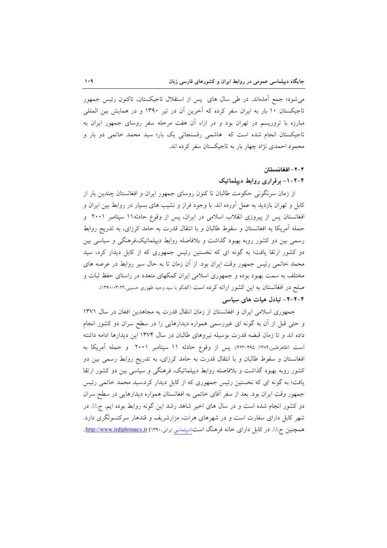می شود؛ جمع آمدهاند. در طی سال های پس از استقلال تاجیکستان، تاکنون رئیس جمهور تاجیکستان ۱۰ بار به ایران سفر کرده که آخرین آن در تیر ۱۳۹۰ و در همایش بین المللی مبارزه با تروریسم در تهران بود و در ازاء آن هفت مرحله سفر روسای جمهور ایران به تاجیکستان انجام شده است که هاشمی رفسنجانی یک بار؛ سید محمد خاتمی دو بار و محمود احمدی نژاد چهار بار به تاجیکستان سفر کرده اند.

#### ۴–۲– افغانستان

#### ۴–۲–۱– برقراری روابط دیپلماتیک

از زمان سرنگونی حکومت طالبان تا کنون روسای جمهور ایران و افغانستان چندین بار از کابل و تهران بازدید به عمل آورده اند. با وجود فراز و نشیب های بسیار در روابط بین ایران و افغانستان پس از پیروزی انقلاب اسلامی در ایران، پس از وقوع حادثه١١ سپتامبر ٢٠٠١ و حمله آمریکا به افغانستان و سقوط طالبان و با انتقال قدرت به حامد کرزای، به تدریج روابط رسمی بین دو کشور روبه بهبود گذاشت و بلافاصله روابط دیپلماتیک،فرهنگی و سیاسی بین دو کشور ارتقا یافت؛ به گونه ای که نخستین رئیس جمهوری که از کابل دیدار کرد، سید محمد خاتمی رئیس جمهور وقت ایران بود. از آن زمان تا به حال سیر روابط در عرصه های مختلف به سمت بهبود بوده و جمهوری اسلامی ایران کمکهای متعدد در راستای حفظ ثبات و صلح در افغانستان به این کشور ارائه کرده است (گفتگو با سید وحید ظهوری حسینی،۱۳۹۰/۰۳/۱۳). ۴-۲-۲- تبادل هیات های سیاسی

جمهوری اسلامی ایران و افغانستان از زمان انتقال قدرت به مجاهدین افغان در سال ۱۳۷۱ و حتی قبل از آن به گونه ای غیررسمی همواره دیدارهایی را در سطح سران دو کشور انجام داده اند و تا زمان قبضه قدرت بوسیله نیروهای طالبان در سال ۱۳۷۴ این دیدارها ادامه داشته است (ظاهرطنین،۱۳۸۴: ۴۹۵–۴۲۳). پس از وقوع حادثه ۱۱ سپتامبر ۲۰۰۱ و حمله آمریکا به افغانستان و سقوط طالبان و با انتقال قدرت به حامد کرزای، به تدریج روابط رسمی بین دو کشور روبه بهبود گذاشت و بلافاصله روابط دیپلماتیک، فرهنگی و سیاسی بین دو کشور ارتقا یافت؛ به گونه ای که نخستین رئیس جمهوری که از کابل دیدار کرد،سید محمد خاتمی رئیس جمهور وقت ايران بود. بعد از سفر آقاي خاتمي به افغانستان همواره ديدارهايي در سطح سران دو کشور انجام شده است و در سال های اخیر شاهد رشد این گونه روابط بوده ایم. ج.ا.ا. در شهر کابل دارای سفارت است و در شهرهای هرات، مزارشریف و قندهار سرکنسولگری دارد. همچنین ج.ا.ا. در کابل دارای خانه فرهنگ است(دیپلماسی ایرانی،۱۳۹۰) http://www.irdiplomacy.ir.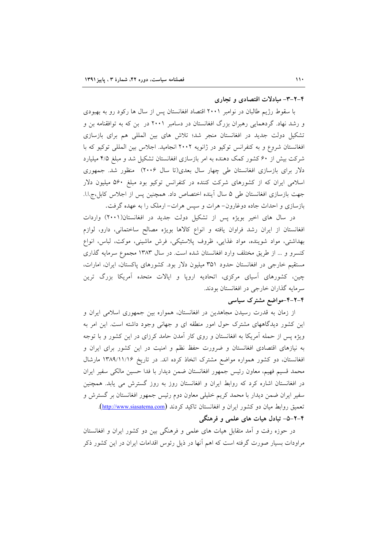#### ۴-۲-۳- مبادلات اقتصادی و تجاری

با سقوط رژیم طالبان در نوامبر ۲۰۰۱ اقتصاد افغانستان پس از سال ها رکود رو به بهبودی و رشد نهاد. گردهمایی رهبران بزرگ افغانستان در دسامبر ۲۰۰۱ در بن که به توافقنامه بن و تشکیل دولت جدید در افغانستان منجر شد؛ تلاش های بین المللی هم برای بازسازی افغانستان شروع و به كنفرانس توكيو در ژانويه ٢٠٠٢ انجاميد. اجلاس بين المللي توكيو كه با شرکت بیش از ۶۰ کشور کمک دهنده به امر بازسازی افغانستان تشکیل شد و مبلغ ۴/۵ میلیارد دلار برای بازسازی افغانستان طی چهار سال بعدی(تا سال ۲۰۰۶) منظور شد. جمهوری اسلامی ایران که از کشورهای شرکت کننده در کنفرانس توکیو بود مبلغ ۵۶۰ میلیون دلار جهت بازسازی افغانستان طی ۵ سال اًینده اختصاص داد. همچنین پس از اجلاس کابل،ج.ا.ا. بازسازی و احداث جاده دوغارون- هرات و سپس هرات- ارملک را به عهده گرفت.

در سال های اخیر بویژه پس از تشکیل دولت جدید در افغانستان(۲۰۰۱) واردات افغانستان از ايران رشد فراوان يافته و انواع كالاها بويژه مصالح ساختماني، دارو، لوازم بهداشتی، مواد شوینده، مواد غذایی، ظروف پلاستیکی، فرش ماشینی، موکت، لباس، انواع کنسرو و ... از طریق مختلف وارد افغانستان شده است. در سال ۱۳۸۳ مجموع سرمایه گذاری مستقیم خارجی در افغانستان حدود ۳۵۱ میلیون دلار بود. کشورهای پاکستان، ایران، امارات، چین، کشورهای آسیای مرکزی، اتحادیه اروپا و ایالات متحده آمریکا بزرگ ترین سرمايه گذاران خارجي در افغانستان بودند.

## ۴-۲-۴-مواضع مشترک سیاسی

از زمان به قدرت رسیدن مجاهدین در افغانستان، همواره بین جمهوری اسلامی ایران و این کشور دیدگاههای مشترک حول امور منطقه ای و جهانی وجود داشته است. این امر به ویژه پس از حمله آمریکا به افغانستان و روی کار آمدن حامد کرزای در این کشور و با توجه به نیازهای اقتصادی افغانستان و ضرورت حفظ نظم و امنیت در این کشور برای ایران و افغانستان، دو کشور همواره مواضع مشترک اتخاذ کرده اند. در تاریخ ۱۳۸۹/۱۱/۱۶ مارشال محمد قسيم فهيم، معاون رئيس جمهور افغانستان ضمن ديدار با فدا حسين مالكي سفير ايران در افغانستان اشاره کرد که روابط ایران و افغانستان روز به روز گسترش می یابد. همچنین سفیر ایران ضمن دیدار با محمد کریم خلیلی معاون دوم رئیس جمهور افغانستان بر گسترش و تعميق روابط ميان دو كشور ايران و افغانستان تاكيد كردند (http://www.siasatema.com). ۴-۲-۵- تبادل هیات های علمی و فرهنگی

در حوزه رفت و اَمد متقابل هیات های علمی و فرهنگی بین دو کشور ایران و افغانستان مراودات بسیار صورت گرفته است که اهم آنها در ذیل رئوس اقدامات ایران در این کشور ذکر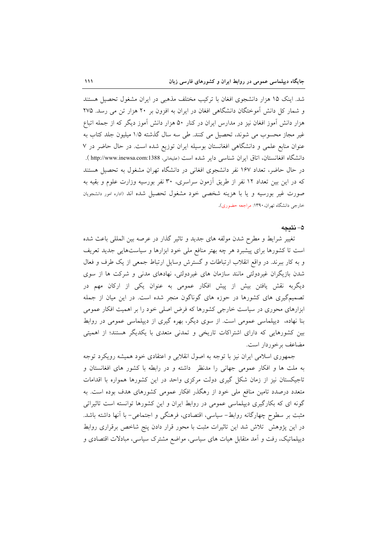شد. اینک ۱۵ هزار دانشجوی افغان با ترکیب مختلف مذهبی در ایران مشغول تحصیل هستند و شمار کل دانش آموختگان دانشگاهی افغان در ایران به افزون بر ۲۰ هزار تن می رسد. ۲۷۵ هزار دانش آموز افغان نیز در مدارس ایران در کنار ۵۰ هزار دانش آموز دیگر که از جمله اتباع غیر مجاز محسوب می شوند، تحصیل می کنند. طی سه سال گذشته ۱/۵ میلیون جلد کتاب به عنوان منابع علمی و دانشگاهی افغانستان بوسیله ایران توزیع شده است. در حال حاضر در ٧ دانشگاه افغانستان، اتاق ایران شناسی دایر شده است (علیخانی، http://www.inewsa.com:1388 ). در حال حاضر، تعداد ۱۶۷ نفر دانشجوی افغانی در دانشگاه تهران مشغول به تحصیل هستند که در این بین تعداد ۱۲ نفر از طریق آزمون سراسری، ۳۰ نفر بورسیه وزارت علوم و بقیه به صورت غیر بورسیه و یا با هزینه شخصی خود مشغول تحصیل شده اند (اداره امور دانشجویان خارجي دانشگاه تهران، ۱۳۹۰: مراجعه حضوري).

#### ۵- نتىجە

تغییر شرایط و مطرح شدن مولفه های جدید و تاثیر گذار در عرصه بین المللی باعث شده است تا کشورها برای پیشبرد هر چه بهتر منافع ملی خود ابزارها و سیاستهایی جدید تعریف و به کار ببرند. در واقع انقلاب ارتباطات و گسترش وسایل ارتباط جمعی از یک طرف و فعال شدن بازیگران غیردولتی مانند سازمان های غیردولتی، نهادهای مدنی و شرکت ها از سوی دیگربه نقش یافتن بیش از پیش افکار عمومی به عنوان یکی از ارکان مهم در تصمیمگیری های کشورها در حوزه های گوناگون منجر شده است. در این میان از جمله ابزارهای محوری در سیاست خارجی کشورها که فرض اصلی خود را بر اهمیت افکار عمومی بنا نهاده، دیپلماسی عمومی است. از سوی دیگر، بهره گیری از دیپلماسی عمومی در روابط بین کشورهایی که دارای اشتراکات تاریخی و تمدنی متعدی با یکدیگر هستند؛ از اهمیتی مضاعف برخوردار است.

جمهوری اسلامی ایران نیز با توجه به اصول انقلابی و اعتقادی خود همیشه رویکرد توجه به ملت ها و افکار عمومی جهانی را مدنظر داشته و در رابطه با کشور های افغانستان و تاجیکستان نیز از زمان شکل گیری دولت مرکزی واحد در این کشورها همواره با اقدامات متعدد درصدد تامین منافع ملی خود از رهگذر افکار عمومی کشورهای هدف بوده است. به گونه ای که بکارگیری دیپلماسی عمومی در روابط ایران و این کشورها توانسته است تاثیراتی مثبت بر سطوح چهارگانه روابط- سیاسی، اقتصادی، فرهنگی و اجتماعی- با آنها داشته باشد. در این پژوهش تلاش شد این تاثیرات مثبت با محور قرار دادن پنج شاخص برقراری روابط دیپلماتیک، رفت و آمد متقابل هیات های سیاسی، مواضع مشترک سیاسی، مبادلات اقتصادی و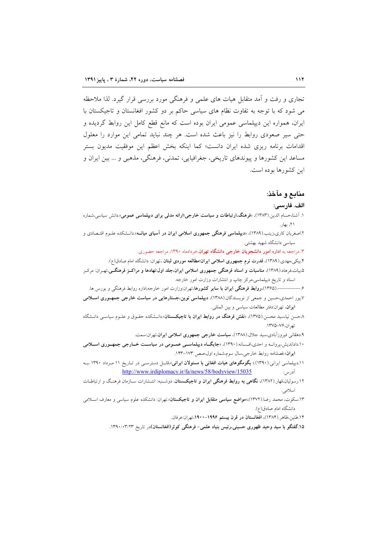تجاری و رفت و اَمد متقابل هیات های علمی و فرهنگی مورد بررسی قرار گیرد. لذا ملاحظه می شود که با توجه به تفاوت نظام های سیاسی حاکم بر دو کشور افغانستان و تاجیکستان با ایران، همواره این دیپلماسی عمومی ایران بوده است که مانع قطع کامل این روابط گردیده و حتی سیر صعودی روابط را نیز باعث شده است. هر چند نباید تمامی این موارد را معلول اقدامات برنامه ریزی شده ایران دانست؛ کما اینکه بخش اعظم این موفقیت مدیون بستر مساعد این کشورها و پیوندهای تاریخی، جغرافیایی، تمدنی، فرهنگی، مذهبی و … بین ایران و این کشورها بوده است.

#### منابع و مآخذ:

#### الف. فارسي:

- ۱. آشنا،حسام الدین.(۱۳۸۳)، «فرهنگ،ار**تباطات و سیاست خارجی؛ارائه مدلی برای دیپلماسی عمومی»**.دانش سیاسی،شماره ٢١، بهار.
- ۲.اصغریان کاری،زینب.(۱۳۸۹)، «**دیبلماسی فرهنگی جمهوری اسلامی ایران در آسیای میانــه**».دانــشکده علــوم اقتــصادی و سیاسی دانشگاه شهید بهشتی.

۳. مراجعه به <mark>اداره امور دانشجویان خارجی دانشگاه تهران</mark>،خردادماه ۱۳۹۰، مراجعه حضوری.

۴.بیکی،مهدی.(۱۳۸۹)، قدرت نرم جمهوری اسلامی ایران؛مطالعه موردی لبنان ،تهران: دانشگاه امام صادق(ع). ۵.بیات،فرهاد.(۱۳۸۹)، مناسبات و اسناد فرهنگی جمهوری اسلامی ایران.جلد اول:نهادها و مراکــز فرهنگــی،تهــران: مرکــز اسناد و تاریخ دیپلماسی،مرکز چاپ و انتشارات وزارت امور خارجه.

۶ـ-----------(۱۳۶۵)،**روابط فرهنگی ایران با سایر کشورها**،تهران:وزارت امور خارجه،اداره روابط فرهنگی و بورس ها.

۷.پور احمدی،حسین و جمعی از نویسندگان.(۱۳۸۸)، **دیپلماسی نوین،جستارهایی در سیاست خارجی جمهـوری اسـلامی** ايوان، تهران:دفتر مطالعات سياسي وبين المللي.

۸حسن نیا،سید محسن.(۱۳۷۵)، «**نقش فرهنگ در روابط ایران با تاجیکستان**».دانــشکده حقــوق و علــوم سیاســی دانــشگاه تهران،۷۶–۱۳۷۵.

۹.دهقانی فیروزآبادی،سید جلال.(۱۳۸۸)، **سیاست خارجی جمهوری اسلامی ایران**،تهران:سمت.

- ۱۰.داداندیش،پروانــه و احدی،افــسانه.(۱۳۹۰)، «جایگــاه دیپلماســی عمــومی در سیاســت خــارجی جمهــوری اســلامی ايران».فصلنامه روابط خارجي،سال سوم،شماره اول،صص ١٧٣-١٤٣.
- ۰۱۱.دیپلماسی ایرانی.(۱۳۹۰).« بگومگوهای هیات افغانی با مسئولان ایرانی»،قابـل دسترسـی در تـاریخ ۱۱ مـرداد ۱۳۹۰ ،بـه http://www.irdiplomacy.ir/fa/news/58/bodyview/15035 آدرس:
- ۱۲.رسولیان،قهار.(۱۳۸۲)، **نگاهی به روابط فرهنگی ایران و تاجیکستان**، دوشـنبه: انتـشارات سـازمان فرهنـگ و ارتباطـات اسلامى.
- ۱۳.سکوت، محمد رضا.(۱۳۷۲)،اموا**ضع سیاسی متقابل ایران و تاجیکستان**».تهران: دانشکده علوم سیاسی و معارف اسـلامی دانشگاه امام صادق(ع).

۱۴.طنین،ظاهر (۱۳۸۴)، افغانستان در قرن بیستم ۱۹۹۶–۱۹۰۰،تهران:عرفان.

۱۵.گفتگو با سید وحید ظهوری حسینی،رئیس بنیاد علمی- فرهنگی کوثر(افغانستان)در تاریخ ۱۳۹۰/۰۳/۲۳.